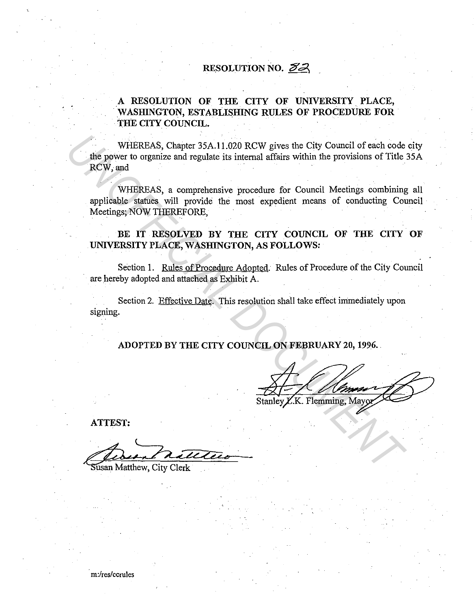### RESOLUTION NO.  $\mathcal{Z}Z$

### A RESOLUTION OF THE CITY OF UNIVERSITY PLACE, WASHINGTON, ESTABLISHING RULES OF PROCEDURE FOR THE CITY COUNCIL.

WHEREAS, Chapter 35A.11.020 RCW gives the City Council of each code city the power to organize and regulate its internal affairs within the provisions of Title 35A RCW,and WHEREAS, Chapter 35A.11.020 RCW gives the City Council of each code<br> **RCW**, and<br> **RCW**, and<br> **WHEREAS, a comprehensive procedure for Council Meetings combining<br>
spilicable statues, will provide the most expedient means of** 

WHEREAS, a comprehensive procedure for Council Meetings combining all applicable statues will provide the most expedient means of conducting Council Meetings; NOW THEREFORE,

### BE IT RESOLVED BY THE CITY COUNCIL OF THE CITY OF UNIVERSITY PLACE, WASHINGTON, AS FOLLOWS:

Section 1. Rules of Procedure Adopted. Rules of Procedure of the City Council are hereby adopted and attached as Exhibit A.

Section 2. Effective Date. This resolution shall take effect immediately upon signing.

ADOPTED BY THE CITY COUNCIL ON FEBRUARY 20, 1996 ..

ATTEST:

..

Susan Matthew, City Clerk

m:/res/ccrules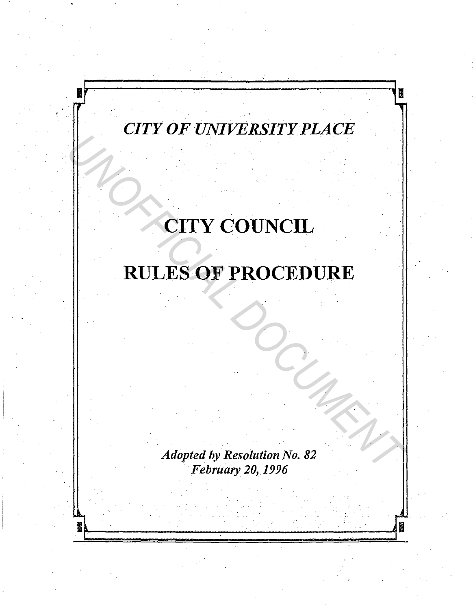## *CITY OF UNIVERSITYPLACE*

.<br>.<br>.

**II** .., .

.

.

.

**II** *r* 

# CITY COUNCIL

# RULES OF PROCEDURE *UNCORPROCEDURE*<br>
RULES OF PROCEDURE<br>
CONTROCEDURE<br>
CONTROCEDURE

*Adopted by Resolution No. 82 ·February 20,1996* 

~ ~ . 11"'-~~~~~~~··....\_\_..~~-·~~~~D .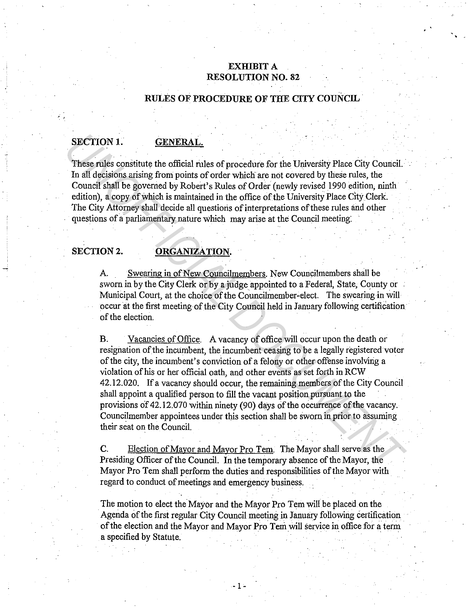### **EXHIBIT A RESOLUTION NO. 82**

•

### **RULES OF PROCEDURE OF THE CITY COUNCIL**

### **SECTION 1. GENERAL.**

 $\cdot$  -

These rules constitute the official rules of procedure for the University Place City Council. In all decisions arising from points of order which are not covered by these rules, the Council shall be governed by Robert's Rules of Order (newly revised 1990 edition, ninth edition), a copy of which is maintained in the office of the University Place CityClerk. The City Attorney shall decide all questions of interpretations of these rules and other questions of a parliamentary nature which may arise at the Council meeting:

### SECTION 2. **ORGANIZATION.**

A. Swearing in of New Councilmembers. New Councilmembers shall be sworn in by the City Clerk or by a judge appointed to a Federal, State, County or Municipal Court, at the choice of the Councilmember-elect. The swearing in will occur at the first meeting of the City Council held in January following certification of the election.

B. Vacancies of Office. A vacancy of office will occur upon the death or resignation of the incumbent, the incumbent ceasing to be a legally registered voter of the city, the incumbent's conviction of a felony or other offense involving a violation of his or her official oath, and other events as set forth in RCW 42.12.020. If a vacancy should occur, the remaining members of the City Council shall appoint a qualified person to fill the vacant position pursuant to the provisions of 42.12.070 within ninety (90) days of the occurrence of the vacancy. Councilmember appointees under this section shall be sworn in prior to assuming their seat on the Council. . **SECTION 1. GENERAL:**<br> **CEREMALE THESE CONSTANTS (THESE CONSTANTS)**<br> **CEREMALE THESE CONSTANTS (THESE CONSTANTS)**<br> **CONSTANTS (THESE CONSTANTS)**<br> **CONSTANTS (THESE CONSTANTS)**<br> **CONSTANTS (THESE CONSTANTS)**<br> **CONSTANTS (** 

C. Election of Mayor and Mayor Pro Tem. The Mayor shall serve as the Presiding Officer of the Council. In the temporary absence of the Mayor, the Mayor Pro Tem shall perform the duties and responsibilities of the Mayor with regard to conduct of meetings and emergency business.

The motion to elect the Mayor and the Mayor Pro Tem will be placed on the Agenda of the first regular City Council meeting in January following certification of the election and the Mayor and Mayor Pro Tem will service in office for a term a specified by Statute.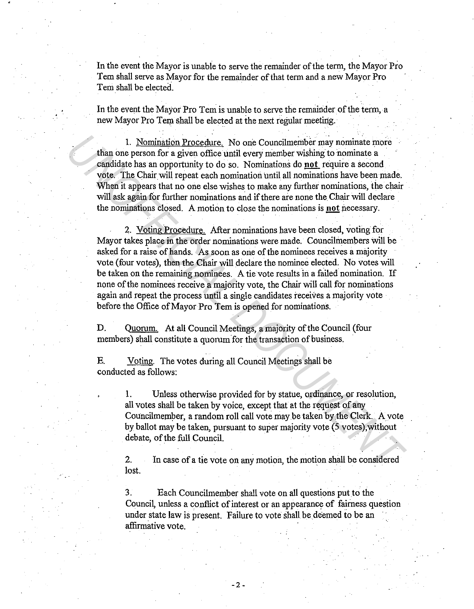In the event the Mayor is unable to serve the remainder of the term, the Mayor Pro Tem shall serve as Mayor for the remainder of that term and a new Mayor Pro Tern shall be elected.

In the event the Mayor Pro Tem is unable to serve the remainder of the term, a new Mayor Pro Tem shall be elected at the next regular meeting.

1. Nomination Procedure. No one Councilmember may nominate more than one person for a given office until every member wishing to nominate a candidate has an opportunity to do so. Nominations do **not** require a second vote. The Chair will repeat each nomination until all nominations have been made. When it appears that no one else wishes to make any further nominations, the chair will ask again for further nominations and if there are none the Chair will declare the nominations closed. A motion to close the nominations is **not** pecessary.

2. Voting Procedure. After nominations have been closed, voting for Mayor takes place in the order nominations were made. Councilmembers will be asked for a raise of hands. As soon as one of the nominees receives a majority vote (four votes), then the Chair will declare the nominee elected. No votes will be taken on the remaining nominees. A tie vote results in a failed nomination. If none of the nominees receive a majority vote, the Chair will call for nominations again and repeat the process until a single candidates receives a majority vote before the Office of Mayor Pro Tem is opened for nominations. 1. Nomination Procedure. No one Councilmember may nominate more change are<br>sondidate has an opportunity to do so. Nominations do <u>net</u> require a second<br>vote. The Chair will repeat each nomination until all nominations have

D. Quorum. At all Council Meetings, a majority of the Council (four members) shall constitute a quorum for the transaction of business.

E. Voting. The votes during all Council Meetings shall be conducted as follows:

> **1.** Unless otherwise provided for by statue, ordinance, or resolution, all votes shall be taken by voice, except that at the request of any Councilmember, a random roll call vote may be taken by the Clerk. A vote by ballot may be taken, pursuant to super majority vote (5 votes),without debate, of the full Council.

2. In case of a tie vote on any motion, the motion shall be considered lost.

3. Each Councilmember shall vote on all questions put to the Council, unless a conflict of interest or an appearance of fairness question under state law is present. Failure to vote shall be deemed to be an affirmative vote.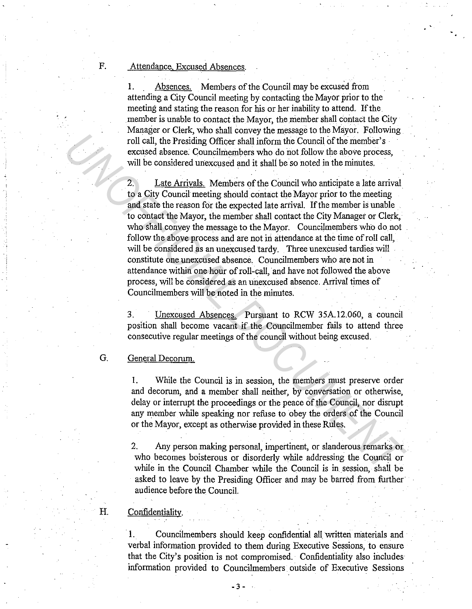F. Attendance. Excused Absences.

, .

I. Absences. Members of the Council may be excused from attending a City Council meeting by contacting the Mayor prior to the meeting and stating the reason for his or her inability to attend. If the. member is unable to contact the Mayor, the member shall contact the City Manager or Clerk, who shall convey the message to the Mayor. Following roll call, the Presiding Officer shall inform the Council of the member's excused absence. Councilmembers who do not follow the above process, will be considered unexcused and it shall be so noted in the minutes.

2. Late Arrivals. Members of the Council who anticipate a late arrival to a City Council meeting should contact the Mayor prior to the meeting. and state the reason for the expected late arrival. If the member is unable to contact the Mayor, the member shall contact the City Manager or Clerk, who shall convey the message to the Mayor. Councilmembers who do not follow the above process and are not in attendance at the time of roll call, will be considered as an unexcused tardy. Three unexcused tardies will constitute one unexcused absence. Councilmembers who are not in attendance within one hour of roll-call, and have not followed the above process, will be considered as an unexcused absence. Arrival times of Councilmembers will be noted in the minutes. Foll call, the Presiding Officer shall inform the Council of the member's<br>
volice alsence. Council more who do not follow the above process,<br>
will be considered unexcused and it shall be so noted in the member's<br>
will be c

3. Unexcused Absences. Pursuant to RCW 35A.12.060, a council position shall become vacant if the Councilmember fails to attend three consecutive regular meetings of the council without being excused.

### G. General Decorum.

I. While the Council is in session, the members must preserve order and decorum, and a member shall neither, by conversation or otherwise, delay or interrupt the proceedings or the peace of the Council, nor disrupt any member while speaking nor refuse to obey the orders of the Council or the Mayor, except as otherwise provided in these Rules.

2. Any person making personal, impertinent, or slanderous remarks or . who becomes boisterous or disorderly while addressing the Council or while in the Council Chamber while the Council is in session, shall be asked to leave by the Presiding Officer and may be barred from further audience before the Council.

### H. Confidentiality.

I. Councilmembers should keep confidential all written materials and verbal information provided to them during Executive Sessions, to ensure that the City's position is not compromised. Confidentiality also includes information provided to Councilmembers outside of Executive Sessions

- 3 -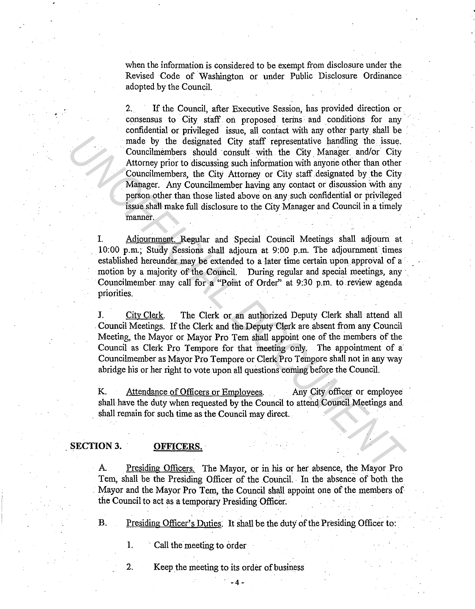when the information is considered to be exempt from disclosure under the Revised Code of Washington or under Public Disclosure Ordinance adopted by the Council.

2. If the Council, after Executive Session, has provided direction or consensus to City staff on proposed terms and conditions for any confidential or privileged issue, all contact with any other party shall be made by the designated City staff representative handling the issue. Councilmembers should consult with the City Manager and/or City Attorney prior to discussing such information with anyorie other than other Councilmembers, the City Attorney or City staff designated by the City . Manager. Any Councilmember having any contact or discussion with any person other than those listed above on any such confidential or privileged issue shall make full disclosure to the City Manager and Council in a timely manner. made by the designated City staff representative handling the issue.<br>
Connellmentoners should consult with the City Manager and/or City<br>
Attorney prior to discussing such information with anyone other than other<br>
Counclime

Adjournment. Regular and Special Council Meetings shall adjourn at 10:00 p.m.; Study Sessions shall adjourn at 9:00 p.m. The adjournment times established hereunder may be extended to a later time certain upon approval of a motion by a majority of the Council. During regular and special meetings, any Councilmember may call for a "Point of Order" at 9:30 p.m. to review agenda priorities.

J. City Clerk. The Clerk or an authorized Deputy Clerk shall attend all . Council Meetings. If the Clerk and the Deputy Clerk are. absent from any Council Meeting, the Mayor or Mayor Pro Tem shall appoint one of the members of the Council as Clerk Pro Tempore for that meeting only. The appointment of a Councilmember as Mayor Pro Tempore or Clerk Pro Tempore shall not in any way abridge his or her right to vote upon all questions coming before the Council.

K. Attendance of Officers or Employees. Any City officer or employee shall have the duty when requested by the Council to attend Council Meetings and. shall remain for such time as the Council may direct.

### **SECTION3. OFFICERS.**

A Presiding Officers. The Mayor, or in his or her absence, the Mayor Pro Tem, shall be the Presiding Officer of the Council. In the absence of both the Mayor and the Mayor Pro Tem, the Council shall appoint one of the members of the Council to act as a temporary Presiding Officer.

B. Presiding Officer's Duties: It shall be the duty of the Presiding Officer to:

**1.** Call the meeting to order

2. Keep the meeting to its order of business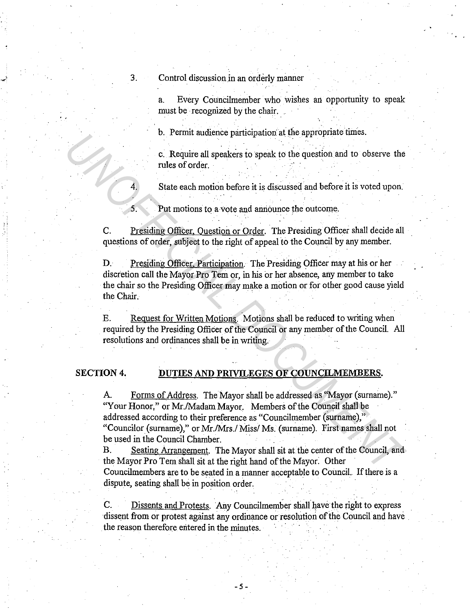3. Control discussion in an orderly manner

.<br>17

a. Every Councilmember who wishes an opportunity to speak must be recognized by the chair.

b. Permit audience participation at the appropriate times.

c. Require all speakers to speak to the question and to observe the. rules of order.

4. State each motion before it is discussed and before it is voted upon.

Put motions to a vote and announce the outcome.

C. Presiding Officer, Question or Order. The Presiding Officer shall decide all questions of order, subject to the right of appeal to the Council by any member.

D. Presiding Officer. Participation. The Presiding Officer may at his or her discretion call the Mayor Pro Tem or, in his or her absence, any member to take the chair so the Presiding Officer may make a motion or for other good cause yield the Chair.

E. Request for Written Motions. Motions shall be reduced to writing when required by the Presiding Officer of the Council or any member of the Council. All resolutions and ordinances shall be in writing. ·

### **SECTION 4. DUTIES AND PRIVILEGES OF COUNCILMEMBERS.**

A. Forms of Address. The Mayor shall be addressed as "Mayor (surname)." "Your Honor," or Mr./Madam Mayor. Members of the Council shall be addressed according to their preference as "Councilmember (surname)," "Councilor (surname)," or Mr./Mrs./ Miss/ Ms. (surname). First names shall not be used in the Council Chamber. <sup>U</sup> C. Require all speakers to speak to the question and to observe the<br>
rules of order.<br>
<sup>2</sup> C. Require all speakers to speak to the question and to observe the<br>
rules of order.<br>
<sup>5</sup> State each motion before it is discus

B. Seating Arrangement. The Mayor shall sit at the center of the Council, and the Mayor Pro Tern shall sit at the right hand of the Mayor. Other Councilmembers are to be seated in a manner acceptable to Council. If there is a dispute, seating shall be in position order.

C. Dissents and Protests. Any Councilmember shall have the right to express dissent from or protest against any ordinance or resolution of the Council and have the reason therefore entered in the minutes.

-5-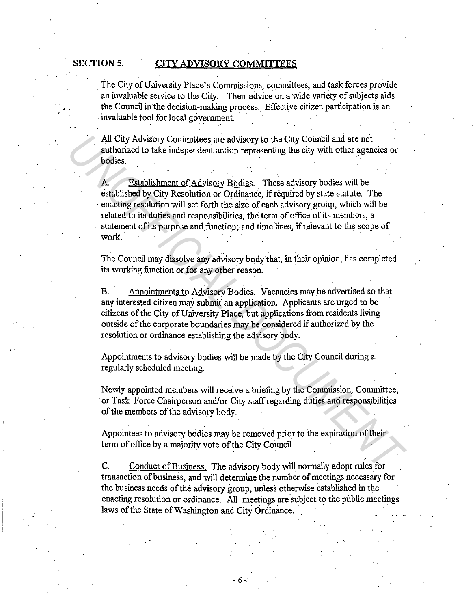### SECTION 5. CITY ADVISORY COMMITTEES

The City of University Place's Commissions, committees, and task forces provide an invaluable service to the City. Their advice on a wide variety of subjects aids the Council inthe decision-making process. Effective citizen participation is an invaluable tool for local government.

All City Advisory Committees are advisory to the City Council and are not authorized to take independent action representing the city with other agencies or bodies. · ·

Establishment of Advisory Bodies. These advisory bodies will be established by City Resolution or Ordinance, if required by state statute. The enacting resolution will set forth the size of each advisory group, which will be related to its duties and responsibilities, the term of office of its members; a statement of its purpose and function; and time lines, if relevant to the scope of work. All City Advisory Committees are advisory to the City Council and are not autonized to take independent action representing the city with other agencies or bodies.<br>
A. Establishment of Advisory Bodies. These advisory bodie

The Council may dissolve any advisory body that, in their opinion, has completed its working function or for any other reason.

B. Appointments to Advisory Bodies. Vacancies may be advertised so that any interested citizen may submit an application. Applicants are urged to be citizens of the City of University Place, but applications from residents living outside of the corporate boundaries may be considered if authorized by the resolution or ordinance establishing the advisory body.

Appointments to advisory bodies will be made by the City Council during a regularly scheduled meeting.

Newly appointed members will receive a briefing by the Commission, Committee, or Task Force Chairperson and/or City staff regarding duties and responsibilities of the members of the advisory body.

' .

Appointees to advisory bodies may be removed prior to the expiration of their term of office by a majority vote of the City Council.

C. Conduct of Business. The advisory body will normally adopt rules for transaction of business, and will determine the number of meetings necessary for the business needs of the advisory group, uriless otherwise established in the enacting resolution or ordinance. All meetings are subject to the public meetings laws of the State of Washington and City Ordinance.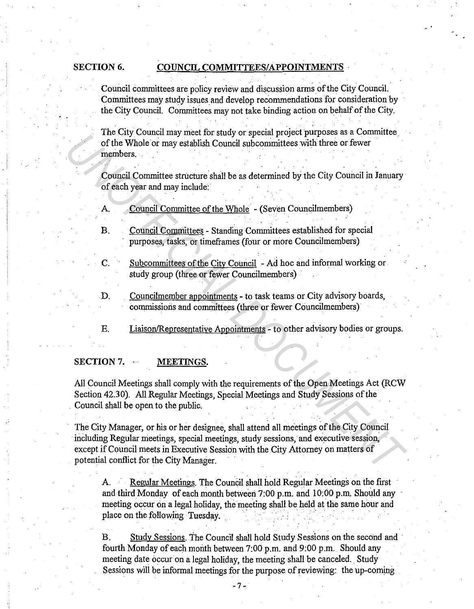### SECTION 6. COUNCIL COMMITTEES/APPOINTMENTS

Council committees are policy review and discussion arms of the City Council. Committees may study issues and develop recommendations for consideration by the City Council. Committees may not take binding action on behalf of the City.

The City Council may meet for study or special project purposes as a Committee. of the Whole or may establish Council subcommittees with three or fewer members.

Council Committee structure shall be as determined by the City Council in January of each year and may include:

- A. Council Committee of the Whole (Seven Councilmembers)
- B. Council Committees Standing Committees established for special purposes, tasks, or timeframes (four or more Councilmembers)
- C. Subcommittees of the City Council Ad hoc and informal working or study group (three or fewer Councilmembers)
- D. Councilmember appointments to task teams or City advisory boards, commissions and committees (three or fewer Councilmembers)
- E. Liaison/Representative Appointments to other advisory bodies or groups.

### **SECTION 7. · MEETINGS.**

All Council Meetings shall comply with the requirements of the Open Meetings Act (RCW Section 42.30). All Regular Meetings, Special Meetings and Study Sessions of the . Council shall be open to the public.

The City Manager, or his or her designee, shall attend all meetings of the City Council including Regular meetings, special meetings, study sessions, and executive session, except if Council meets in Executive Session with the City Attorney on matters of potential conflict for the City Manager. In each contribution where the studient of the City Council Sales and control of the Whole or may establish Council ablocommittees with three or fewer<br>
members.<br>
Council Committee structure shall be as determined by the Ci

> A. Regular Meetings. The Council shall hold Regular Meetings on the first and third Monday of each month between  $7:00$  p.m. and  $10:00$  p.m. Should any meeting occur on a legal holiday, the meeting shall be held at the same hour and place on the following Tuesday.

> B. Study Sessions. The Council shall hold Study Sessions on the second and fourth Monday of each month between 7:00 p.m. and 9:00 p.m. Should any meeting date occur on a legal holiday, the meeting shall be canceled. Study Sessions will be informal meetings for the purpose of reviewing: the up-coming

> > -7-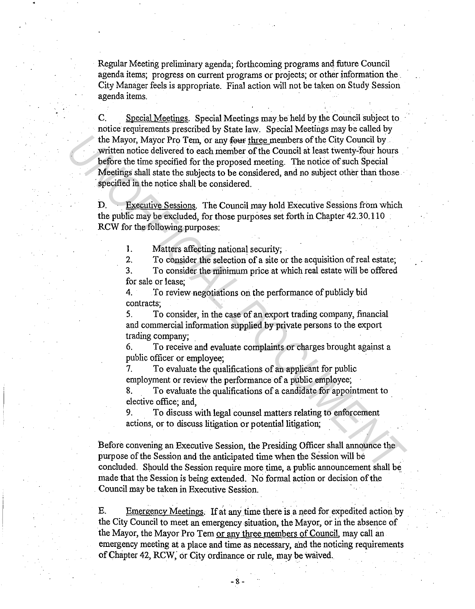Regular Meeting preliminary agenda; forthcoming programs and future Council agenda items; progress on current programs or projects; or other information the. City Manager feels is appropriate. Final action will not be taken on Study Session agenda items.

C. Special Meetings. Special Meetings may be held by the Council subject to notice requirements prescribed by State law. Special Meetings may be called by the Mayor, Mayor Pro Tem, or any four three members of the City Council by written notice delivered to each member of the Council at least twenty-four hours before the time specified for the proposed meeting. The notice of such Special Meetings shall state the subjects to be considered, and no subject other than those specified in the notice shall be considered. The Mayor, Mayor Pro Tem, or any <del>four fluce</del> members of the City Council by<br>
written notice edivered to each member of the Crouncil at least wearly-four hours<br>
wefore the time specified for the proposed meeting. The notic

D. Executive Sessions. The Council may hold Executive Sessions from which the public may be excluded, for those purposes set forth in Chapter 42.30.110 RCW for the following purposes:

1. Matters affecting national security;

2. To consider the selection of a site or the acquisition of real estate;

3. To consider the minimum price at which real estate will be offered for sale or lease;

4. To review negotiations on the performance of publicly bid contracts;

5. To consider, in the case of an export trading company, financial and commercial information supplied by private persons to the export trading company;

6. To receive and evaluate complaints or charges brought against a public officer or employee;

7. To evaluate the qualifications of an applicant for public employment or review the performance of a public employee;

8. To evaluate the qualifications of a candidate for appointment to elective office; and,

9. To discuss with legal counsel matters relating to enforcement actions, or to discuss litigation or potential litigation;

Before convening an Executive Session, the Presiding Officer shall announce the purpose of the Session and the anticipated time when the Session will be concluded. Should the Session require more time, a public announcement shall be. made that the Session is being extended. No formal action or decision of the Council may be taken in Executive Session. ·

E. Emergency Meetings. If at any time there is a need for expedited action by the City Council to meet an emergency situation, the Mayor, or in the absence of the Mayor, the Mayor Pro Tem or any three members of Council, may call an emergency meeting at a place and time as necessary, and the noticing requirements of Chapter 42, RCW, or City ordinance or rule, may be waived.

-8-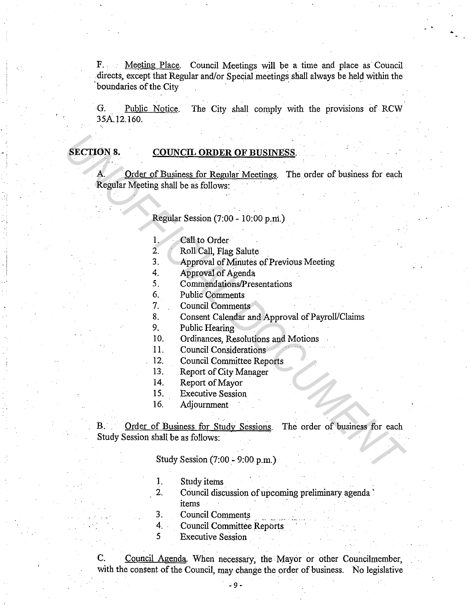F. Meeting Place. Council Meetings will be a time and place as Council . directs, except that Regular and/or Special meetings shall always be held within the boundaries of the City

G. Public Notice. The City shall comply with the provisions of RCW 35A. 12. 160.

### SECTION 8. COUNCIL **ORDER** OF BUSINESS.

-.

A. Order of Business for Regular Meetings. The order of business for each Regular Meeting shall be as follows: **SECTION 8.** COUNCIL ORDER OF BUSINESS.<br>
A Drder of Business for Regular Meetings. The order of business for each<br>
Regular Meeting shall bo as follows:<br>
Regular Session (7:00 - 10:00 p.m.)<br>
1. Call to Order<br>
2. Roll Call,

Regular Session (7:00 - 10:00 p.ni.)

- 1. Call to Order
- 2. Roll Call, Flag Salute
- 3. Approval of Minutes of Previous Meeting
- 4. Approval of Agenda
- 5. Commendations/Presentations
- 6. Public Comments
- 7. Council Comments
- 8. Consent Calendar and Approval of Payroll/Claims
- 9. Public Hearing
- 10. Ordinances, Resolutions and Motions
- 11. Council Considerations
- 12. Council Committee Reports
- 13. Report of City Manager
- 14. Report of Mayor
- 15. Executive Session
- 16. Adjournment

B. Order of Business for Study Sessions. The order of business for each Study Session shall be as follows:

Study Session (7:00 - 9:00 p.m.)

- 1. Study items
- 2. Council discussion of upcoming preliminary agenda' items
- 3. Council Comments
- 4. Council Committee Reports
- 5 Executive Session

C. Council Agenda. When necessary, the Mayor or other Councilmember, with the consent of the Council, may change the order of business. No legislative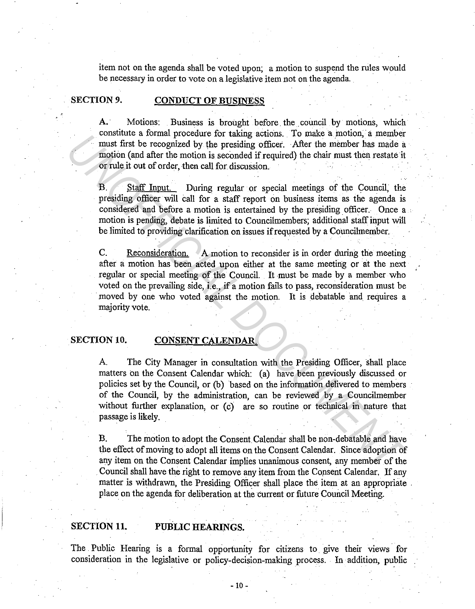item not on the agenda shall be voted upon; a motion to suspend the rules would be necessary in order to vote on a legislative item not on the agenda.

### **SECTION 9. CONDUCT OF BUSINESS**

A. Motions: Business is brought before the council by motions, which constitute a formal procedure for taking actions. To make a motion, a member must first be recognized by the presiding officer. After the member has made a motion (and after the motion is seconded if required) the chair must then restate it or rule it out of order, then call for discussion.

B. Staff' Input. During regular or special meetings of the Council, the presiding officer will call for a staff report on business items as the agenda is considered and before a motion is entertained by the presiding officer. Once a • motion is pending, debate is limited to Councilmembers; additional staff' input will be limited to providing clarification on issues if requested by a Councilmember.

C. Reconsideration. A motion to reconsider is in order during the meeting after a motion has been acted upon either at the same meeting or at the next regular or special meeting of the Council. It must be made by a member who voted on the prevailing side, i.e., if a motion fails to pass, reconsideration must be moved by one who voted against the motion. It is debatable and requires a majority vote.

### **SECTION 10. CONSENT CALENDAR.**

A. The City Manager in consultation with the Presiding Officer, shall place matters on the Consent Calendar which: (a) have been previously discussed or policies set by the Council, or (b) based on the information delivered to members of the Council, by the administration, can be reviewed by a Councilmember without further explanation, or  $(c)$  are so routine or technical in nature that passage is likely. From the altitude of the motion is accupated to the altitude of the member has made a<br>
motion (and after the motion is seconded if required) the chair must then restarte in<br>
or or their dura fire the motion is seconded if

B. The motion to adopt the Consent Calendar shall be non-debatable and have the effect of moving to adopt all items on the Consent Calendar. Since adoption of any item on the Consent Calendar implies unanimous consent, any member of the Council shall have the right to remove any item from the Consent Calendar. If any matter is withdrawn, the Presiding Officer shall place the item at an appropriate place on the agenda for deliberation at the current or future Council Meeting.

### **SECTION 11. PuBLIC HEARINGS.**

The Public Hearing is a formal opportunity for citizens to. give their views for consideration in the legislative or policy-decision-making process .. In addition, public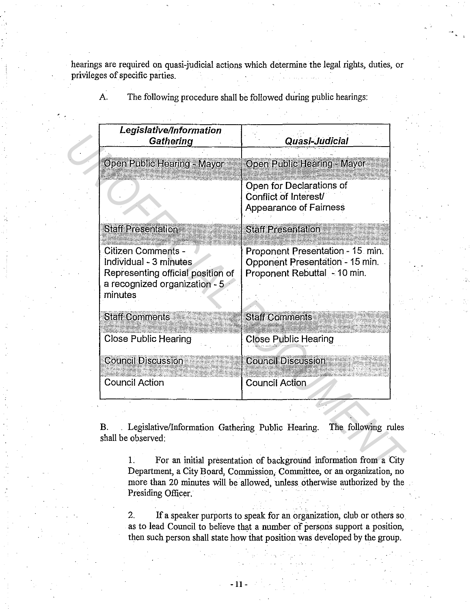hearings are required on quasi-judicial actions which determine the legal rights, duties, or privileges of specific parties.

| Legislative/Information<br>Gathering                                                                                          | Quasi-Judicial                                                                                      |
|-------------------------------------------------------------------------------------------------------------------------------|-----------------------------------------------------------------------------------------------------|
| Open Public Hearing - Mayor                                                                                                   | Open Public Hearing Mayor                                                                           |
|                                                                                                                               | Open for Declarations of<br>Conflict of Interest/<br><b>Appearance of Fairness</b>                  |
| <b>Staff Presentation</b>                                                                                                     | <b>Staff Presentation</b>                                                                           |
| Citizen Comments -<br>Individual - 3 minutes<br>Representing official position of<br>a recognized organization - 5<br>minutes | Proponent Presentation - 15 min.<br>Opponent Presentation - 15 min.<br>Proponent Rebuttal - 10 min. |
| <b>Staff Comments</b>                                                                                                         | <b>Staff Comments</b>                                                                               |
| <b>Close Public Hearing</b>                                                                                                   | <b>Close Public Hearing</b>                                                                         |
| <b>Council Discussion</b>                                                                                                     | <b>Council Discussion</b>                                                                           |
| <b>Council Action</b>                                                                                                         | <b>Council Action</b>                                                                               |

A. The following procedure shall be followed during public hearings:

1. For an initial presentation of background information from a City Department, a City Board, Commission, Committee, or an organization, no more than 20 minutes will be allowed, unless otherwise authorized by the Presiding Officer.

2. If a speaker purports to speak for an organization, club or others so. as to lead Council to believe that a number of persons support a position, then such person shall state how that position was developed by the group.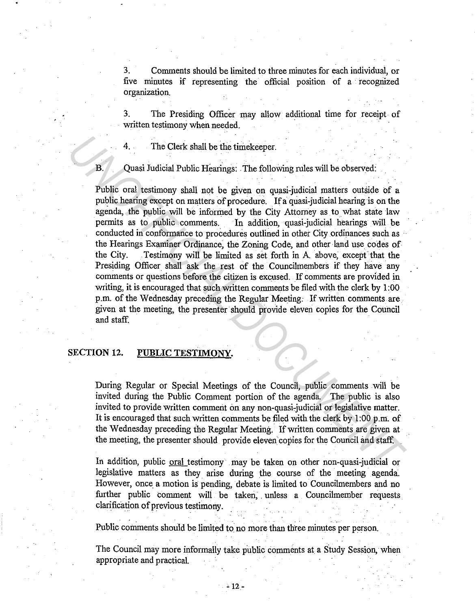3. Comments should be limited to three minutes for each individual, or five minutes if representing the official position of a recognized organization.

3. The Presiding Officer may allow additional time for receipt of written testimony when needed.

The Clerk shall be the timekeeper.

### B. Quasi Judicial Public Hearings: The following rules will be observed:

Public oral testimony shall not be given on quasi-judicial matters outside of a public hearing except on matters of procedure. If a quasi-judicial hearing is on the agenda, the public will be informed by the City Attorney as to what state law permits as to public comments. In addition, quasi-judicial hearings will be conducted in conformance to procedures outlined in other City ordinances such as the Hearings Examiner Ordinance, the Zoning Code, and other land use codes of the City. Testimony will be limited as set forth in A above except that the Testimony will be limited as set forth in A above, except that the Presiding Officer shall ask the rest of the Councilmembers if they have any comments or questions before the citizen is excused. If comments are provided in writing, it is encouraged that such written comments be filed with the clerk by 1 :00 p.m. of the Wednesday preceding the Regular Meeting. If written comments are given at the meeting, the presenter should provide eleven copies for the Council and staff. 4. The Clerk shall be the timekceper.<br> **B.** Quasi Judicial Public Hearings: The following rules will be observed:<br> **Public oral testimony shall not be given on quasi-judicial matters outside of a<br>
public hearing except on** 

### **SECTION 12. PUBLIC TESTIMONY.**

During Regular or Special Meetings of the Council, public comments will be invited during the Public Comment portion of the agenda. The public is also invited to provide written comment on any non-quasi-judicial or legislative matter. It is encouraged that such written comments be filed with the clerk by 1 :00 p.m:. of the Wednesday preceding the Regular Meeting. If written comments are given at the meeting, the presenter should provide eleven copies for the Council and staff.

In addition, public <u>oral</u> testimony may be taken on other non-quasi-judicial or legislative matters as they arise during the course of the meeting agenda. However, once a motion is pending, debate is limited to Councilmembers and no further public comment will be taken, unless a Councilmember requests clarification of previous testimony.

Public comments should be limited to no more than three minutes per person.

The Council may more informally take public comments at a Study Session, when appropriate and practical.